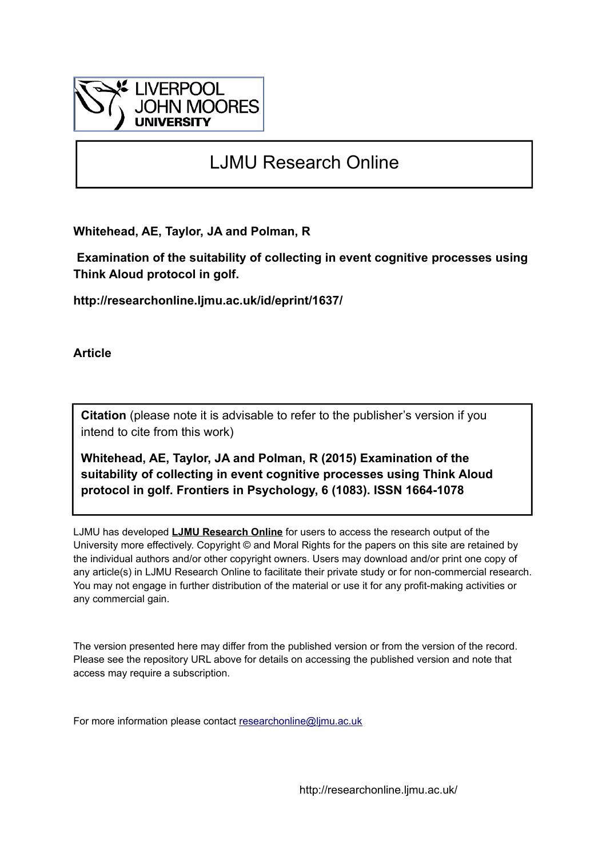

# LJMU Research Online

**Whitehead, AE, Taylor, JA and Polman, R**

 **Examination of the suitability of collecting in event cognitive processes using Think Aloud protocol in golf.**

**http://researchonline.ljmu.ac.uk/id/eprint/1637/**

**Article**

**Citation** (please note it is advisable to refer to the publisher's version if you intend to cite from this work)

**Whitehead, AE, Taylor, JA and Polman, R (2015) Examination of the suitability of collecting in event cognitive processes using Think Aloud protocol in golf. Frontiers in Psychology, 6 (1083). ISSN 1664-1078** 

LJMU has developed **[LJMU Research Online](http://researchonline.ljmu.ac.uk/)** for users to access the research output of the University more effectively. Copyright © and Moral Rights for the papers on this site are retained by the individual authors and/or other copyright owners. Users may download and/or print one copy of any article(s) in LJMU Research Online to facilitate their private study or for non-commercial research. You may not engage in further distribution of the material or use it for any profit-making activities or any commercial gain.

The version presented here may differ from the published version or from the version of the record. Please see the repository URL above for details on accessing the published version and note that access may require a subscription.

For more information please contact [researchonline@ljmu.ac.uk](mailto:researchonline@ljmu.ac.uk)

http://researchonline.ljmu.ac.uk/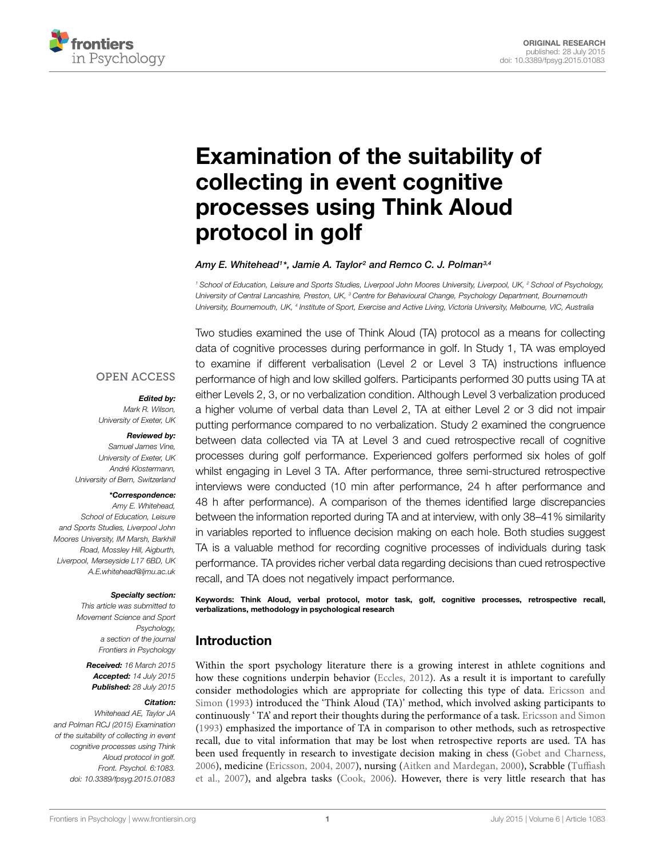

# [Examination of the suitability of](http://journal.frontiersin.org/article/10.3389/fpsyg.2015.01083/abstract) collecting in event cognitive processes using Think Aloud protocol in golf

#### *[Amy E. Whitehead1](http://loop.frontiersin.org/people/214902)\*, [Jamie A. Taylor2](http://loop.frontiersin.org/people/114253) and [Remco C. J. Polman3](http://loop.frontiersin.org/people/23165),4*

*<sup>1</sup> School of Education, Leisure and Sports Studies, Liverpool John Moores University, Liverpool, UK, <sup>2</sup> School of Psychology, University of Central Lancashire, Preston, UK, <sup>3</sup> Centre for Behavioural Change, Psychology Department, Bournemouth University, Bournemouth, UK, <sup>4</sup> Institute of Sport, Exercise and Active Living, Victoria University, Melbourne, VIC, Australia*

#### **OPEN ACCESS**

#### *Edited by:*

*Mark R. Wilson, University of Exeter, UK*

#### *Reviewed by:*

*Samuel James Vine, University of Exeter, UK André Klostermann, University of Bern, Switzerland*

#### *\*Correspondence:*

*Amy E. Whitehead, School of Education, Leisure and Sports Studies, Liverpool John Moores University, IM Marsh, Barkhill Road, Mossley Hill, Aigburth, Liverpool, Merseyside L17 6BD, UK A.E.whitehead@ljmu.ac.uk*

#### *Specialty section:*

*This article was submitted to Movement Science and Sport Psychology, a section of the journal Frontiers in Psychology*

*Received: 16 March 2015 Accepted: 14 July 2015 Published: 28 July 2015*

#### *Citation:*

*Whitehead AE, Taylor JA and Polman RCJ (2015) Examination of the suitability of collecting in event cognitive processes using Think Aloud protocol in golf. Front. Psychol. 6:1083. doi: [10.3389/fpsyg.2015.01083](http://dx.doi.org/10.3389/fpsyg.2015.01083)*

Two studies examined the use of Think Aloud (TA) protocol as a means for collecting data of cognitive processes during performance in golf. In Study 1, TA was employed to examine if different verbalisation (Level 2 or Level 3 TA) instructions influence performance of high and low skilled golfers. Participants performed 30 putts using TA at either Levels 2, 3, or no verbalization condition. Although Level 3 verbalization produced a higher volume of verbal data than Level 2, TA at either Level 2 or 3 did not impair putting performance compared to no verbalization. Study 2 examined the congruence between data collected via TA at Level 3 and cued retrospective recall of cognitive processes during golf performance. Experienced golfers performed six holes of golf whilst engaging in Level 3 TA. After performance, three semi-structured retrospective interviews were conducted (10 min after performance, 24 h after performance and 48 h after performance). A comparison of the themes identified large discrepancies between the information reported during TA and at interview, with only 38–41% similarity in variables reported to influence decision making on each hole. Both studies suggest TA is a valuable method for recording cognitive processes of individuals during task performance. TA provides richer verbal data regarding decisions than cued retrospective recall, and TA does not negatively impact performance.

Keywords: Think Aloud, verbal protocol, motor task, golf, cognitive processes, retrospective recall, verbalizations, methodology in psychological research

# Introduction

Within the sport psychology literature there is a growing interest in athlete cognitions and how these cognitions underpin behavior [\(Eccles](#page-11-0), [2012\)](#page-11-0). As a result it is important to carefully consider methodologies which are appropriate for collecting this type of data. Ericsson and Simon [\(1993\)](#page-12-0) introduced the 'Think Aloud (TA)' method, which involved asking participants to continuously ' TA' and report their thoughts during the performance of a task. [Ericsson and Simon](#page-12-0) [\(1993](#page-12-0)) emphasized the importance of TA in comparison to other methods, such as retrospective recall, due to vital information that may be lost when retrospective reports are used. TA has been used frequently in research to investigate decision making in chess [\(Gobet and Charness](#page-12-1), [2006](#page-12-1)[\), medicine](#page-12-2) [\(Ericsson](#page-11-1)[,](#page-12-2) [2004](#page-11-1)[,](#page-12-2) [2007](#page-11-2)[\), nursing](#page-12-2) [\(Aitken and Mardegan, 2000](#page-11-3)[\), Scrabble \(](#page-12-2)Tuffiash et al., [2007](#page-12-2)), and algebra tasks [\(Cook](#page-11-4), [2006](#page-11-4)). However, there is very little research that has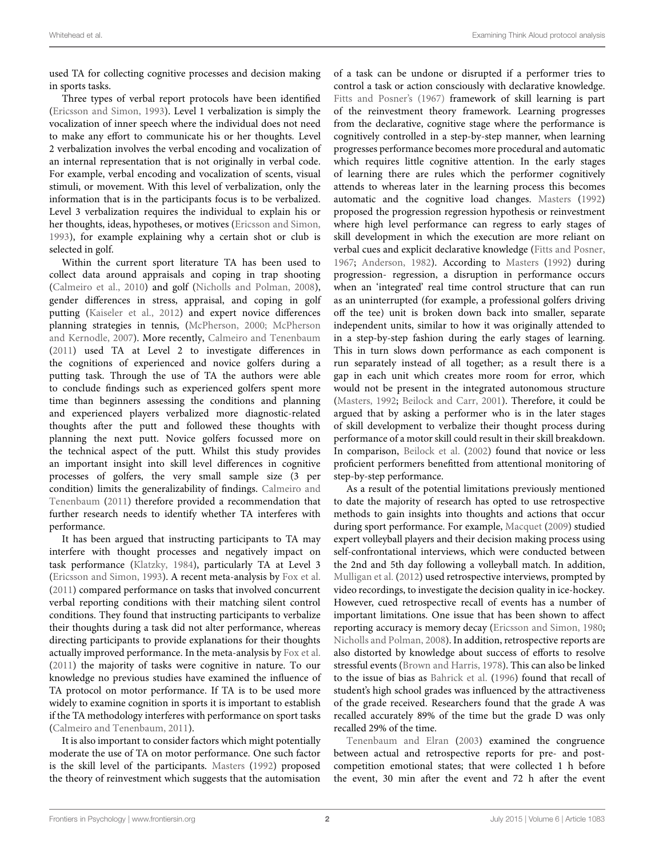used TA for collecting cognitive processes and decision making in sports tasks.

Three types of verbal report protocols have been identified [\(Ericsson and Simon](#page-12-0), [1993\)](#page-12-0). Level 1 verbalization is simply the vocalization of inner speech where the individual does not need to make any effort to communicate his or her thoughts. Level 2 verbalization involves the verbal encoding and vocalization of an internal representation that is not originally in verbal code. For example, verbal encoding and vocalization of scents, visual stimuli, or movement. With this level of verbalization, only the information that is in the participants focus is to be verbalized. Level 3 verbalization requires the individual to explain his or her thoughts, ideas, hypotheses, or motives [\(Ericsson and Simon](#page-12-0), [1993](#page-12-0)), for example explaining why a certain shot or club is selected in golf.

Within the current sport literature TA has been used to collect data around appraisals and coping in trap shooting [\(Calmeiro et al.](#page-11-5), [2010](#page-11-5)) and golf [\(Nicholls and Polman, 2008](#page-12-3)), gender differences in stress, appraisal, and coping in golf putting [\(Kaiseler et al., 2012](#page-12-4)) and expert novice differences planning str[ategies in tennis,](#page-12-6) [\(McPherson](#page-12-5)[,](#page-12-6) [2000;](#page-12-5) McPherson and Kernodle, [2007](#page-12-6)). More recently, [Calmeiro and Tenenbaum](#page-11-6) [\(2011](#page-11-6)) used TA at Level 2 to investigate differences in the cognitions of experienced and novice golfers during a putting task. Through the use of TA the authors were able to conclude findings such as experienced golfers spent more time than beginners assessing the conditions and planning and experienced players verbalized more diagnostic-related thoughts after the putt and followed these thoughts with planning the next putt. Novice golfers focussed more on the technical aspect of the putt. Whilst this study provides an important insight into skill level differences in cognitive processes of golfers, the very small sample size (3 per condition) [limits the generalizability of findings.](#page-11-6) Calmeiro and Tenenbaum [\(2011](#page-11-6)) therefore provided a recommendation that further research needs to identify whether TA interferes with performance.

It has been argued that instructing participants to TA may interfere with thought processes and negatively impact on task performance [\(Klatzky](#page-12-7), [1984\)](#page-12-7), particularly TA at Level 3 [\(Ericsson and Simon, 1993](#page-12-0)). A recent meta-analysis by [Fox et al.](#page-12-8) [\(2011](#page-12-8)) compared performance on tasks that involved concurrent verbal reporting conditions with their matching silent control conditions. They found that instructing participants to verbalize their thoughts during a task did not alter performance, whereas directing participants to provide explanations for their thoughts actually improved performance. In the meta-analysis by [Fox et al.](#page-12-8) [\(2011](#page-12-8)) the majority of tasks were cognitive in nature. To our knowledge no previous studies have examined the influence of TA protocol on motor performance. If TA is to be used more widely to examine cognition in sports it is important to establish if the TA methodology interferes with performance on sport tasks [\(Calmeiro and Tenenbaum, 2011](#page-11-6)).

It is also important to consider factors which might potentially moderate the use of TA on motor performance. One such factor is the skill level of the participants. [Masters](#page-12-9) [\(1992](#page-12-9)) proposed the theory of reinvestment which suggests that the automisation of a task can be undone or disrupted if a performer tries to control a task or action consciously with declarative knowledge. [Fitts and Posner](#page-12-10)'s [\(1967](#page-12-10)) framework of skill learning is part of the reinvestment theory framework. Learning progresses from the declarative, cognitive stage where the performance is cognitively controlled in a step-by-step manner, when learning progresses performance becomes more procedural and automatic which requires little cognitive attention. In the early stages of learning there are rules which the performer cognitively attends to whereas later in the learning process this becomes automatic and the cognitive load changes. [Masters](#page-12-9) [\(1992\)](#page-12-9) proposed the progression regression hypothesis or reinvestment where high level performance can regress to early stages of skill development in which the execution are more reliant on verbal cues and explicit declarative knowledge [\(Fitts and Posner](#page-12-10), [1967;](#page-12-10) [Anderson](#page-11-7), [1982\)](#page-11-7). According to [Masters](#page-12-9) [\(1992](#page-12-9)) during progression- regression, a disruption in performance occurs when an 'integrated' real time control structure that can run as an uninterrupted (for example, a professional golfers driving off the tee) unit is broken down back into smaller, separate independent units, similar to how it was originally attended to in a step-by-step fashion during the early stages of learning. This in turn slows down performance as each component is run separately instead of all together; as a result there is a gap in each unit which creates more room for error, which would not be present in the integrated autonomous structure [\(Masters, 1992](#page-12-9); [Beilock and Carr](#page-11-8), [2001](#page-11-8)). Therefore, it could be argued that by asking a performer who is in the later stages of skill development to verbalize their thought process during performance of a motor skill could result in their skill breakdown. In comparison, [Beilock et al.](#page-11-9) [\(2002\)](#page-11-9) found that novice or less proficient performers benefitted from attentional monitoring of step-by-step performance.

As a result of the potential limitations previously mentioned to date the majority of research has opted to use retrospective methods to gain insights into thoughts and actions that occur during sport performance. For example, [Macquet](#page-12-11) [\(2009](#page-12-11)) studied expert volleyball players and their decision making process using self-confrontational interviews, which were conducted between the 2nd and 5th day following a volleyball match. In addition, [Mulligan et al.](#page-12-12) [\(2012](#page-12-12)) used retrospective interviews, prompted by video recordings, to investigate the decision quality in ice-hockey. However, cued retrospective recall of events has a number of important limitations. One issue that has been shown to affect reporting accuracy is memory decay [\(Ericsson and Simon](#page-12-13), [1980](#page-12-13); [Nicholls and Polman, 2008](#page-12-3)). In addition, retrospective reports are also distorted by knowledge about success of efforts to resolve stressful events [\(Brown and Harris](#page-11-10), [1978\)](#page-11-10). This can also be linked to the issue of bias as [Bahrick et al.](#page-11-11) [\(1996\)](#page-11-11) found that recall of student's high school grades was influenced by the attractiveness of the grade received. Researchers found that the grade A was recalled accurately 89% of the time but the grade D was only recalled 29% of the time.

[Tenenbaum and Elran](#page-12-14) [\(2003](#page-12-14)) examined the congruence between actual and retrospective reports for pre- and postcompetition emotional states; that were collected 1 h before the event, 30 min after the event and 72 h after the event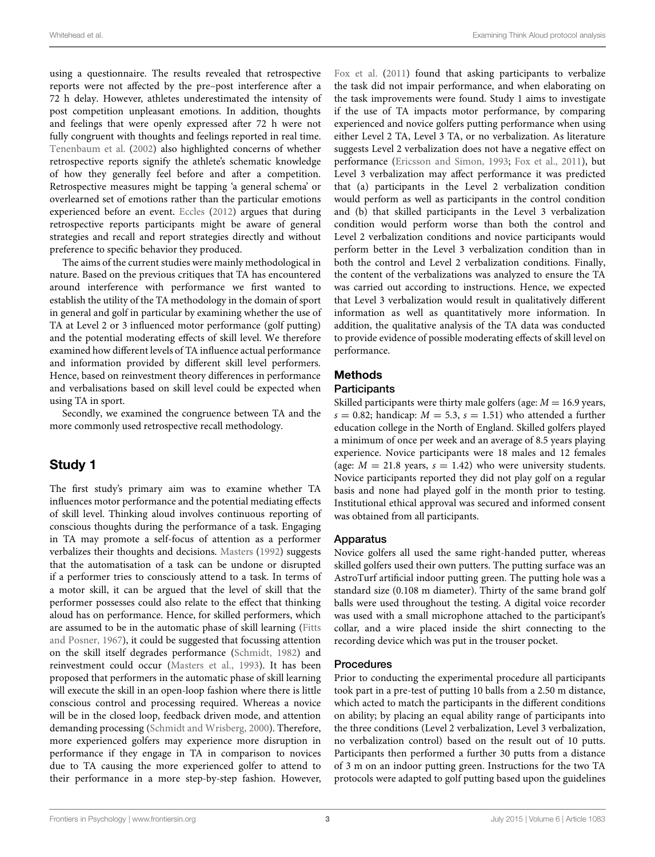using a questionnaire. The results revealed that retrospective reports were not affected by the pre–post interference after a 72 h delay. However, athletes underestimated the intensity of post competition unpleasant emotions. In addition, thoughts and feelings that were openly expressed after 72 h were not fully congruent with thoughts and feelings reported in real time. [Tenenbaum et al.](#page-12-15) [\(2002](#page-12-15)) also highlighted concerns of whether retrospective reports signify the athlete's schematic knowledge of how they generally feel before and after a competition. Retrospective measures might be tapping 'a general schema' or overlearned set of emotions rather than the particular emotions experienced before an event. [Eccles](#page-11-0) [\(2012\)](#page-11-0) argues that during retrospective reports participants might be aware of general strategies and recall and report strategies directly and without preference to specific behavior they produced.

The aims of the current studies were mainly methodological in nature. Based on the previous critiques that TA has encountered around interference with performance we first wanted to establish the utility of the TA methodology in the domain of sport in general and golf in particular by examining whether the use of TA at Level 2 or 3 influenced motor performance (golf putting) and the potential moderating effects of skill level. We therefore examined how different levels of TA influence actual performance and information provided by different skill level performers. Hence, based on reinvestment theory differences in performance and verbalisations based on skill level could be expected when using TA in sport.

Secondly, we examined the congruence between TA and the more commonly used retrospective recall methodology.

# Study 1

The first study's primary aim was to examine whether TA influences motor performance and the potential mediating effects of skill level. Thinking aloud involves continuous reporting of conscious thoughts during the performance of a task. Engaging in TA may promote a self-focus of attention as a performer verbalizes their thoughts and decisions. [Masters](#page-12-9) [\(1992](#page-12-9)) suggests that the automatisation of a task can be undone or disrupted if a performer tries to consciously attend to a task. In terms of a motor skill, it can be argued that the level of skill that the performer possesses could also relate to the effect that thinking aloud has on performance. Hence, for skilled performers, which are assume[d to be in the automatic phase of skill learning \(](#page-12-10)Fitts and Posner, [1967](#page-12-10)), it could be suggested that focussing attention on the skill itself degrades performance [\(Schmidt](#page-12-16), [1982\)](#page-12-16) and reinvestment could occur [\(Masters et al.](#page-12-17), [1993](#page-12-17)). It has been proposed that performers in the automatic phase of skill learning will execute the skill in an open-loop fashion where there is little conscious control and processing required. Whereas a novice will be in the closed loop, feedback driven mode, and attention demanding processing [\(Schmidt and Wrisberg](#page-12-18), [2000\)](#page-12-18). Therefore, more experienced golfers may experience more disruption in performance if they engage in TA in comparison to novices due to TA causing the more experienced golfer to attend to their performance in a more step-by-step fashion. However,

[Fox et al.](#page-12-8) [\(2011](#page-12-8)) found that asking participants to verbalize the task did not impair performance, and when elaborating on the task improvements were found. Study 1 aims to investigate if the use of TA impacts motor performance, by comparing experienced and novice golfers putting performance when using either Level 2 TA, Level 3 TA, or no verbalization. As literature suggests Level 2 verbalization does not have a negative effect on performance [\(Ericsson and Simon](#page-12-0), [1993](#page-12-0); [Fox et al., 2011\)](#page-12-8), but Level 3 verbalization may affect performance it was predicted that (a) participants in the Level 2 verbalization condition would perform as well as participants in the control condition and (b) that skilled participants in the Level 3 verbalization condition would perform worse than both the control and Level 2 verbalization conditions and novice participants would perform better in the Level 3 verbalization condition than in both the control and Level 2 verbalization conditions. Finally, the content of the verbalizations was analyzed to ensure the TA was carried out according to instructions. Hence, we expected that Level 3 verbalization would result in qualitatively different information as well as quantitatively more information. In addition, the qualitative analysis of the TA data was conducted to provide evidence of possible moderating effects of skill level on performance.

# Methods

#### **Participants**

Skilled participants were thirty male golfers (age:  $M = 16.9$  years,  $s = 0.82$ ; handicap:  $M = 5.3$ ,  $s = 1.51$ ) who attended a further education college in the North of England. Skilled golfers played a minimum of once per week and an average of 8.5 years playing experience. Novice participants were 18 males and 12 females (age:  $M = 21.8$  years,  $s = 1.42$ ) who were university students. Novice participants reported they did not play golf on a regular basis and none had played golf in the month prior to testing. Institutional ethical approval was secured and informed consent was obtained from all participants.

#### Apparatus

Novice golfers all used the same right-handed putter, whereas skilled golfers used their own putters. The putting surface was an AstroTurf artificial indoor putting green. The putting hole was a standard size (0.108 m diameter). Thirty of the same brand golf balls were used throughout the testing. A digital voice recorder was used with a small microphone attached to the participant's collar, and a wire placed inside the shirt connecting to the recording device which was put in the trouser pocket.

#### Procedures

Prior to conducting the experimental procedure all participants took part in a pre-test of putting 10 balls from a 2.50 m distance, which acted to match the participants in the different conditions on ability; by placing an equal ability range of participants into the three conditions (Level 2 verbalization, Level 3 verbalization, no verbalization control) based on the result out of 10 putts. Participants then performed a further 30 putts from a distance of 3 m on an indoor putting green. Instructions for the two TA protocols were adapted to golf putting based upon the guidelines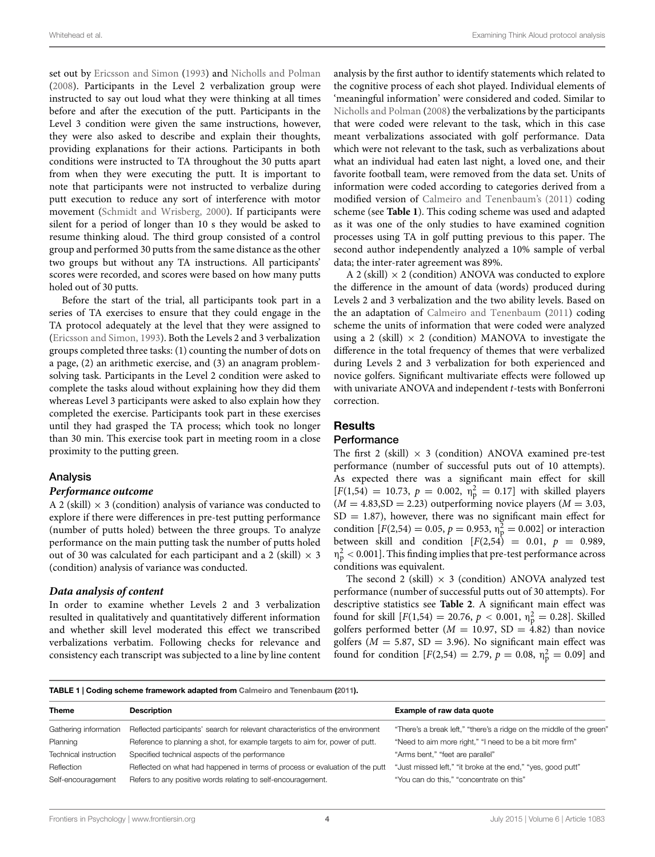set out by [Ericsson and Simon](#page-12-0) [\(1993\)](#page-12-0) and [Nicholls and Polman](#page-12-3) [\(2008](#page-12-3)). Participants in the Level 2 verbalization group were instructed to say out loud what they were thinking at all times before and after the execution of the putt. Participants in the Level 3 condition were given the same instructions, however, they were also asked to describe and explain their thoughts, providing explanations for their actions. Participants in both conditions were instructed to TA throughout the 30 putts apart from when they were executing the putt. It is important to note that participants were not instructed to verbalize during putt execution to reduce any sort of interference with motor movement [\(Schmidt and Wrisberg, 2000\)](#page-12-18). If participants were silent for a period of longer than 10 s they would be asked to resume thinking aloud. The third group consisted of a control group and performed 30 putts from the same distance as the other two groups but without any TA instructions. All participants' scores were recorded, and scores were based on how many putts holed out of 30 putts.

Before the start of the trial, all participants took part in a series of TA exercises to ensure that they could engage in the TA protocol adequately at the level that they were assigned to [\(Ericsson and Simon](#page-12-0), [1993\)](#page-12-0). Both the Levels 2 and 3 verbalization groups completed three tasks: (1) counting the number of dots on a page, (2) an arithmetic exercise, and (3) an anagram problemsolving task. Participants in the Level 2 condition were asked to complete the tasks aloud without explaining how they did them whereas Level 3 participants were asked to also explain how they completed the exercise. Participants took part in these exercises until they had grasped the TA process; which took no longer than 30 min. This exercise took part in meeting room in a close proximity to the putting green.

#### Analysis

#### *Performance outcome*

A 2 (skill)  $\times$  3 (condition) analysis of variance was conducted to explore if there were differences in pre-test putting performance (number of putts holed) between the three groups. To analyze performance on the main putting task the number of putts holed out of 30 was calculated for each participant and a 2 (skill)  $\times$  3 (condition) analysis of variance was conducted.

#### *Data analysis of content*

In order to examine whether Levels 2 and 3 verbalization resulted in qualitatively and quantitatively different information and whether skill level moderated this effect we transcribed verbalizations verbatim. Following checks for relevance and consistency each transcript was subjected to a line by line content

analysis by the first author to identify statements which related to the cognitive process of each shot played. Individual elements of 'meaningful information' were considered and coded. Similar to [Nicholls and Polman](#page-12-3) [\(2008](#page-12-3)) the verbalizations by the participants that were coded were relevant to the task, which in this case meant verbalizations associated with golf performance. Data which were not relevant to the task, such as verbalizations about what an individual had eaten last night, a loved one, and their favorite football team, were removed from the data set. Units of information were coded according to categories derived from a modified version of [Calmeiro and Tenenbaum'](#page-11-6)s [\(2011](#page-11-6)) coding scheme (see **[Table 1](#page-4-0)**). This coding scheme was used and adapted as it was one of the only studies to have examined cognition processes using TA in golf putting previous to this paper. The second author independently analyzed a 10% sample of verbal data; the inter-rater agreement was 89%.

A 2 (skill)  $\times$  2 (condition) ANOVA was conducted to explore the difference in the amount of data (words) produced during Levels 2 and 3 verbalization and the two ability levels. Based on the an adaptation of [Calmeiro and Tenenbaum](#page-11-6) [\(2011](#page-11-6)) coding scheme the units of information that were coded were analyzed using a 2 (skill)  $\times$  2 (condition) MANOVA to investigate the difference in the total frequency of themes that were verbalized during Levels 2 and 3 verbalization for both experienced and novice golfers. Significant multivariate effects were followed up with univariate ANOVA and independent *t*-tests with Bonferroni correction.

#### Results

#### **Performance**

The first 2 (skill)  $\times$  3 (condition) ANOVA examined pre-test performance (number of successful puts out of 10 attempts). As expected there was a significant main effect for skill  $[F(1,54) = 10.73, p = 0.002, \eta_{p}^{2} = 0.17]$  with skilled players  $(M = 4.83, SD = 2.23)$  outperforming novice players  $(M = 3.03,$  $SD = 1.87$ ), however, there was no significant main effect for condition  $[F(2,54) = 0.05, p = 0.953, \eta_{\rm p}^2 = 0.002]$  or interaction between skill and condition  $[F(2,54) = 0.01, p = 0.989,$ η2 <sup>p</sup> *<* 0.001]. This finding implies that pre-test performance across conditions was equivalent.

The second 2 (skill)  $\times$  3 (condition) ANOVA analyzed test performance (number of successful putts out of 30 attempts). For descriptive statistics see **[Table 2](#page-5-0)**. A significant main effect was found for skill  $[F(1,54) = 20.76, p < 0.001, \eta_{\rm p}^2 = 0.28]$ . Skilled golfers performed better ( $M = 10.97$ , SD = 4.82) than novice golfers ( $M = 5.87$ , SD = 3.96). No significant main effect was found for condition  $[F(2,54) = 2.79, p = 0.08, \eta_{p}^{2} = 0.09]$  and

<span id="page-4-0"></span>TABLE 1 | Coding scheme framework adapted from [Calmeiro and Tenenbaum](#page-11-6) [\(2011\)](#page-11-6).

| <b>Theme</b>          | <b>Description</b>                                                             | Example of raw data quote                                            |
|-----------------------|--------------------------------------------------------------------------------|----------------------------------------------------------------------|
| Gathering information | Reflected participants' search for relevant characteristics of the environment | "There's a break left," "there's a ridge on the middle of the green" |
| Planning              | Reference to planning a shot, for example targets to aim for, power of putt.   | "Need to aim more right," "I need to be a bit more firm"             |
| Technical instruction | Specified technical aspects of the performance                                 | "Arms bent," "feet are parallel"                                     |
| Reflection            | Reflected on what had happened in terms of process or evaluation of the putt   | "Just missed left," "it broke at the end," "yes, good putt"          |
| Self-encouragement    | Refers to any positive words relating to self-encouragement.                   | "You can do this," "concentrate on this"                             |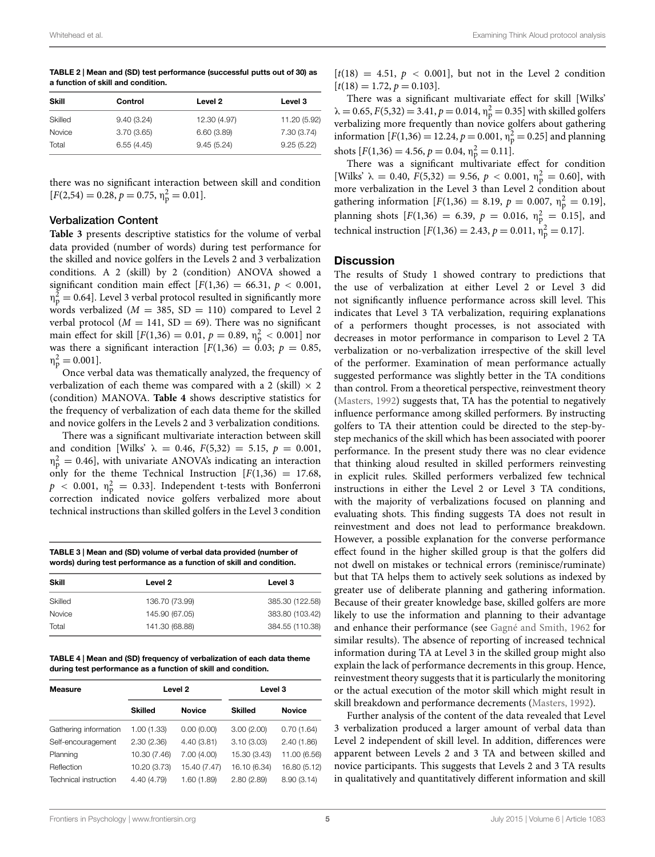<span id="page-5-0"></span>TABLE 2 | Mean and (SD) test performance (successful putts out of 30) as a function of skill and condition.

| Skill   | Control    | Level 2      | Level 3      |
|---------|------------|--------------|--------------|
| Skilled | 9.40(3.24) | 12.30 (4.97) | 11.20 (5.92) |
| Novice  | 3.70(3.65) | 6.60(3.89)   | 7.30 (3.74)  |
| Total   | 6.55(4.45) | 9.45(5.24)   | 9.25(5.22)   |

there was no significant interaction between skill and condition  $[F(2,54) = 0.28, p = 0.75, \eta_{\rm p}^2 = 0.01].$ 

#### Verbalization Content

**[Table 3](#page-5-1)** presents descriptive statistics for the volume of verbal data provided (number of words) during test performance for the skilled and novice golfers in the Levels 2 and 3 verbalization conditions. A 2 (skill) by 2 (condition) ANOVA showed a significant condition main effect  $[F(1,36) = 66.31, p < 0.001,$  $\eta_{\rm p}^2 = 0.64$ ]. Level 3 verbal protocol resulted in significantly more words verbalized ( $M = 385$ , SD = 110) compared to Level 2 verbal protocol ( $M = 141$ , SD = 69). There was no significant main effect for skill  $[F(1,36) = 0.01, p = 0.89, \eta_{\rm p}^2 < 0.001]$  nor was there a significant interaction  $[F(1,36) = 0.03; p = 0.85,$  $\eta_{\rm p}^2 = 0.001$ ].

Once verbal data was thematically analyzed, the frequency of verbalization of each theme was compared with a 2 (skill)  $\times$  2 (condition) MANOVA. **[Table 4](#page-5-2)** shows descriptive statistics for the frequency of verbalization of each data theme for the skilled and novice golfers in the Levels 2 and 3 verbalization conditions.

There was a significant multivariate interaction between skill and condition [Wilks'  $\lambda = 0.46$ ,  $F(5,32) = 5.15$ ,  $p = 0.001$ ,  $\eta_{\rm p}^2 = 0.46$ , with univariate ANOVA's indicating an interaction only for the theme Technical Instruction  $[F(1,36) = 17.68]$ ,  $p$  < 0.001,  $\eta_{\rm p}^2$  = 0.33]. Independent t-tests with Bonferroni correction indicated novice golfers verbalized more about technical instructions than skilled golfers in the Level 3 condition

<span id="page-5-1"></span>TABLE 3 | Mean and (SD) volume of verbal data provided (number of words) during test performance as a function of skill and condition.

| Skill   | Level 2        | Level 3         |
|---------|----------------|-----------------|
| Skilled | 136.70 (73.99) | 385.30 (122.58) |
| Novice  | 145.90 (67.05) | 383.80 (103.42) |
| Total   | 141.30 (68.88) | 384.55 (110.38) |

<span id="page-5-2"></span>TABLE 4 | Mean and (SD) frequency of verbalization of each data theme during test performance as a function of skill and condition.

| <b>Measure</b>        | Level <sub>2</sub> |               | Level 3        |               |
|-----------------------|--------------------|---------------|----------------|---------------|
|                       | <b>Skilled</b>     | <b>Novice</b> | <b>Skilled</b> | <b>Novice</b> |
| Gathering information | 1.00 (1.33)        | 0.00(0.00)    | 3.00(2.00)     | 0.70(1.64)    |
| Self-encouragement    | 2.30(2.36)         | 4.40(3.81)    | 3.10(3.03)     | 2.40(1.86)    |
| Planning              | 10.30 (7.46)       | 7.00(4.00)    | 15.30 (3.43)   | 11.00 (6.56)  |
| Reflection            | 10.20 (3.73)       | 15.40 (7.47)  | 16.10 (6.34)   | 16.80 (5.12)  |
| Technical instruction | 4.40 (4.79)        | 1.60(1.89)    | 2.80(2.89)     | 8.90(3.14)    |

 $[t(18) = 4.51, p < 0.001]$ , but not in the Level 2 condition  $[t(18) = 1.72, p = 0.103].$ 

There was a significant multivariate effect for skill [Wilks'  $\lambda = 0.65, F(5,32) = 3.41, p = 0.014, \eta_p^2 = 0.35$  with skilled golfers verbalizing more frequently than novice golfers about gathering information  $[F(1,36) = 12.24, p = 0.001, \eta_{\rm p}^2 = 0.25]$  and planning shots  $[F(1,36) = 4.56, p = 0.04, \eta_{p}^{2} = 0.11].$ 

There was a significant multivariate effect for condition [Wilks'  $\lambda = 0.40, F(5,32) = 9.56, p < 0.001, \eta_p^2 = 0.60$ ], with more verbalization in the Level 3 than Level 2 condition about gathering information  $[F(1,36) = 8.19, p = 0.007, \eta_{p}^{2} = 0.19]$ , planning shots  $[F(1,36) = 6.39, p = 0.016, \eta_p^2 = 0.15]$ , and technical instruction  $[F(1,36) = 2.43, p = 0.011, \eta_{\rm p}^2 = 0.17]$ .

#### **Discussion**

The results of Study 1 showed contrary to predictions that the use of verbalization at either Level 2 or Level 3 did not significantly influence performance across skill level. This indicates that Level 3 TA verbalization, requiring explanations of a performers thought processes, is not associated with decreases in motor performance in comparison to Level 2 TA verbalization or no-verbalization irrespective of the skill level of the performer. Examination of mean performance actually suggested performance was slightly better in the TA conditions than control. From a theoretical perspective, reinvestment theory [\(Masters, 1992](#page-12-9)) suggests that, TA has the potential to negatively influence performance among skilled performers. By instructing golfers to TA their attention could be directed to the step-bystep mechanics of the skill which has been associated with poorer performance. In the present study there was no clear evidence that thinking aloud resulted in skilled performers reinvesting in explicit rules. Skilled performers verbalized few technical instructions in either the Level 2 or Level 3 TA conditions, with the majority of verbalizations focused on planning and evaluating shots. This finding suggests TA does not result in reinvestment and does not lead to performance breakdown. However, a possible explanation for the converse performance effect found in the higher skilled group is that the golfers did not dwell on mistakes or technical errors (reminisce/ruminate) but that TA helps them to actively seek solutions as indexed by greater use of deliberate planning and gathering information. Because of their greater knowledge base, skilled golfers are more likely to use the information and planning to their advantage and enhance their performance (see [Gagné and Smith](#page-12-19), [1962](#page-12-19) for similar results). The absence of reporting of increased technical information during TA at Level 3 in the skilled group might also explain the lack of performance decrements in this group. Hence, reinvestment theory suggests that it is particularly the monitoring or the actual execution of the motor skill which might result in skill breakdown and performance decrements [\(Masters, 1992](#page-12-9)).

Further analysis of the content of the data revealed that Level 3 verbalization produced a larger amount of verbal data than Level 2 independent of skill level. In addition, differences were apparent between Levels 2 and 3 TA and between skilled and novice participants. This suggests that Levels 2 and 3 TA results in qualitatively and quantitatively different information and skill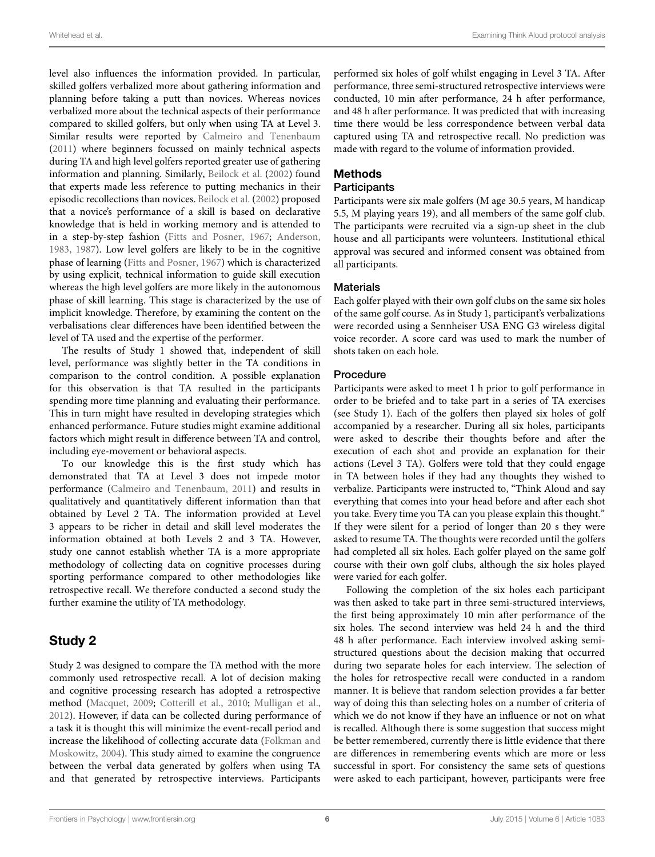level also influences the information provided. In particular, skilled golfers verbalized more about gathering information and planning before taking a putt than novices. Whereas novices verbalized more about the technical aspects of their performance compared to skilled golfers, but only when using TA at Level 3. Similar results were reported by [Calmeiro and Tenenbaum](#page-11-6) [\(2011](#page-11-6)) where beginners focussed on mainly technical aspects during TA and high level golfers reported greater use of gathering information and planning. Similarly, [Beilock et al.](#page-11-9) [\(2002\)](#page-11-9) found that experts made less reference to putting mechanics in their episodic recollections than novices. [Beilock et al.](#page-11-9) [\(2002\)](#page-11-9) proposed that a novice's performance of a skill is based on declarative knowledge that is held in working memory and is attended to in a step-by-step fashion [\(Fitts and Posner, 1967;](#page-12-10) [Anderson](#page-11-12), [1983](#page-11-12), [1987](#page-11-13)). Low level golfers are likely to be in the cognitive phase of learning [\(Fitts and Posner](#page-12-10), [1967](#page-12-10)) which is characterized by using explicit, technical information to guide skill execution whereas the high level golfers are more likely in the autonomous phase of skill learning. This stage is characterized by the use of implicit knowledge. Therefore, by examining the content on the verbalisations clear differences have been identified between the level of TA used and the expertise of the performer.

The results of Study 1 showed that, independent of skill level, performance was slightly better in the TA conditions in comparison to the control condition. A possible explanation for this observation is that TA resulted in the participants spending more time planning and evaluating their performance. This in turn might have resulted in developing strategies which enhanced performance. Future studies might examine additional factors which might result in difference between TA and control, including eye-movement or behavioral aspects.

To our knowledge this is the first study which has demonstrated that TA at Level 3 does not impede motor performance [\(Calmeiro and Tenenbaum](#page-11-6), [2011](#page-11-6)) and results in qualitatively and quantitatively different information than that obtained by Level 2 TA. The information provided at Level 3 appears to be richer in detail and skill level moderates the information obtained at both Levels 2 and 3 TA. However, study one cannot establish whether TA is a more appropriate methodology of collecting data on cognitive processes during sporting performance compared to other methodologies like retrospective recall. We therefore conducted a second study the further examine the utility of TA methodology.

# Study 2

Study 2 was designed to compare the TA method with the more commonly used retrospective recall. A lot of decision making and cognitive processing research has adopted a retrospective method [\(Macquet, 2009](#page-12-11); [Cotterill et al., 2010](#page-11-14); [Mulligan et al.](#page-12-12), [2012](#page-12-12)). However, if data can be collected during performance of a task it is thought this will minimize the event-recall period and increase the likelihood of collecting accurate data (Folkman and Moskowitz, [2004](#page-12-20)). This study aimed to examine the congruence between the verbal data generated by golfers when using TA and that generated by retrospective interviews. Participants

performed six holes of golf whilst engaging in Level 3 TA. After performance, three semi-structured retrospective interviews were conducted, 10 min after performance, 24 h after performance, and 48 h after performance. It was predicted that with increasing time there would be less correspondence between verbal data captured using TA and retrospective recall. No prediction was made with regard to the volume of information provided.

# Methods

### **Participants**

Participants were six male golfers (M age 30.5 years, M handicap 5.5, M playing years 19), and all members of the same golf club. The participants were recruited via a sign-up sheet in the club house and all participants were volunteers. Institutional ethical approval was secured and informed consent was obtained from all participants.

## **Materials**

Each golfer played with their own golf clubs on the same six holes of the same golf course. As in Study 1, participant's verbalizations were recorded using a Sennheiser USA ENG G3 wireless digital voice recorder. A score card was used to mark the number of shots taken on each hole.

### Procedure

Participants were asked to meet 1 h prior to golf performance in order to be briefed and to take part in a series of TA exercises (see Study 1). Each of the golfers then played six holes of golf accompanied by a researcher. During all six holes, participants were asked to describe their thoughts before and after the execution of each shot and provide an explanation for their actions (Level 3 TA). Golfers were told that they could engage in TA between holes if they had any thoughts they wished to verbalize. Participants were instructed to, "Think Aloud and say everything that comes into your head before and after each shot you take. Every time you TA can you please explain this thought." If they were silent for a period of longer than 20 s they were asked to resume TA. The thoughts were recorded until the golfers had completed all six holes. Each golfer played on the same golf course with their own golf clubs, although the six holes played were varied for each golfer.

Following the completion of the six holes each participant was then asked to take part in three semi-structured interviews, the first being approximately 10 min after performance of the six holes. The second interview was held 24 h and the third 48 h after performance. Each interview involved asking semistructured questions about the decision making that occurred during two separate holes for each interview. The selection of the holes for retrospective recall were conducted in a random manner. It is believe that random selection provides a far better way of doing this than selecting holes on a number of criteria of which we do not know if they have an influence or not on what is recalled. Although there is some suggestion that success might be better remembered, currently there is little evidence that there are differences in remembering events which are more or less successful in sport. For consistency the same sets of questions were asked to each participant, however, participants were free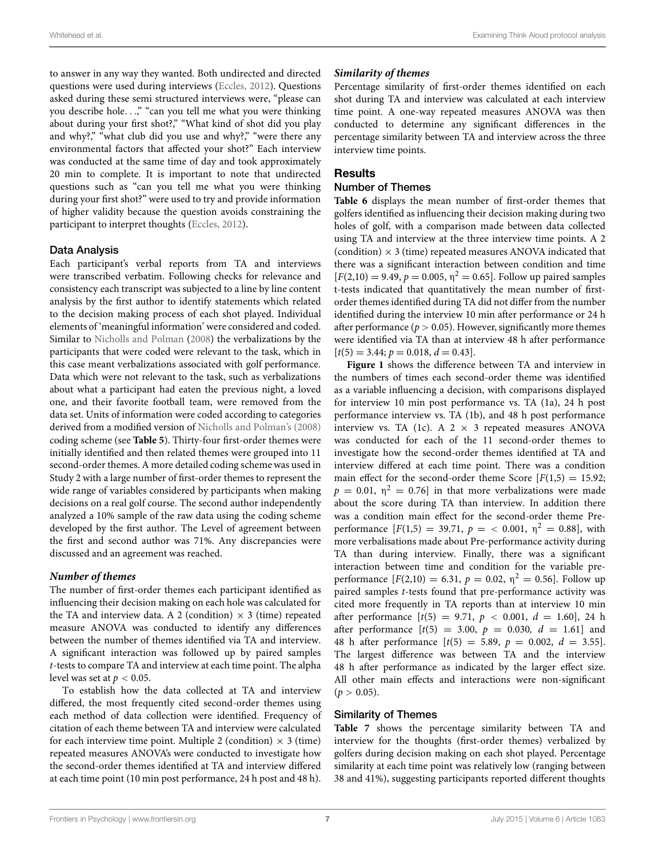to answer in any way they wanted. Both undirected and directed questions were used during interviews [\(Eccles, 2012](#page-11-0)). Questions asked during these semi structured interviews were, "please can you describe hole*...*," "can you tell me what you were thinking about during your first shot?," "What kind of shot did you play and why?," "what club did you use and why?," "were there any environmental factors that affected your shot?" Each interview was conducted at the same time of day and took approximately 20 min to complete. It is important to note that undirected questions such as "can you tell me what you were thinking during your first shot?" were used to try and provide information of higher validity because the question avoids constraining the participant to interpret thoughts [\(Eccles, 2012](#page-11-0)).

#### Data Analysis

Each participant's verbal reports from TA and interviews were transcribed verbatim. Following checks for relevance and consistency each transcript was subjected to a line by line content analysis by the first author to identify statements which related to the decision making process of each shot played. Individual elements of 'meaningful information' were considered and coded. Similar to [Nicholls and Polman](#page-12-3) [\(2008](#page-12-3)) the verbalizations by the participants that were coded were relevant to the task, which in this case meant verbalizations associated with golf performance. Data which were not relevant to the task, such as verbalizations about what a participant had eaten the previous night, a loved one, and their favorite football team, were removed from the data set. Units of information were coded according to categories derived from a modified version of [Nicholls and Polman](#page-12-3)'s [\(2008\)](#page-12-3) coding scheme (see **[Table 5](#page-8-0)**). Thirty-four first-order themes were initially identified and then related themes were grouped into 11 second-order themes. A more detailed coding scheme was used in Study 2 with a large number of first-order themes to represent the wide range of variables considered by participants when making decisions on a real golf course. The second author independently analyzed a 10% sample of the raw data using the coding scheme developed by the first author. The Level of agreement between the first and second author was 71%. Any discrepancies were discussed and an agreement was reached.

#### *Number of themes*

The number of first-order themes each participant identified as influencing their decision making on each hole was calculated for the TA and interview data. A 2 (condition)  $\times$  3 (time) repeated measure ANOVA was conducted to identify any differences between the number of themes identified via TA and interview. A significant interaction was followed up by paired samples *t*-tests to compare TA and interview at each time point. The alpha level was set at  $p < 0.05$ .

To establish how the data collected at TA and interview differed, the most frequently cited second-order themes using each method of data collection were identified. Frequency of citation of each theme between TA and interview were calculated for each interview time point. Multiple 2 (condition)  $\times$  3 (time) repeated measures ANOVA's were conducted to investigate how the second-order themes identified at TA and interview differed at each time point (10 min post performance, 24 h post and 48 h).

#### *Similarity of themes*

Percentage similarity of first-order themes identified on each shot during TA and interview was calculated at each interview time point. A one-way repeated measures ANOVA was then conducted to determine any significant differences in the percentage similarity between TA and interview across the three interview time points.

#### **Results**

#### Number of Themes

**[Table 6](#page-10-0)** displays the mean number of first-order themes that golfers identified as influencing their decision making during two holes of golf, with a comparison made between data collected using TA and interview at the three interview time points. A 2 (condition)  $\times$  3 (time) repeated measures ANOVA indicated that there was a significant interaction between condition and time  $[F(2,10) = 9.49, p = 0.005, \eta^2 = 0.65]$ . Follow up paired samples t-tests indicated that quantitatively the mean number of firstorder themes identified during TA did not differ from the number identified during the interview 10 min after performance or 24 h after performance ( $p > 0.05$ ). However, significantly more themes were identified via TA than at interview 48 h after performance  $[t(5) = 3.44; p = 0.018, d = 0.43].$ 

**[Figure 1](#page-9-0)** shows the difference between TA and interview in the numbers of times each second-order theme was identified as a variable influencing a decision, with comparisons displayed for interview 10 min post performance vs. TA (1a), 24 h post performance interview vs. TA (1b), and 48 h post performance interview vs. TA (1c). A  $2 \times 3$  repeated measures ANOVA was conducted for each of the 11 second-order themes to investigate how the second-order themes identified at TA and interview differed at each time point. There was a condition main effect for the second-order theme Score  $[F(1,5) = 15.92;$  $p = 0.01$ ,  $\eta^2 = 0.76$ ] in that more verbalizations were made about the score during TA than interview. In addition there was a condition main effect for the second-order theme Preperformance  $[F(1,5) = 39.71, p = < 0.001, \eta^2 = 0.88]$ , with more verbalisations made about Pre-performance activity during TA than during interview. Finally, there was a significant interaction between time and condition for the variable preperformance  $[F(2,10) = 6.31, p = 0.02, \eta^2 = 0.56]$ . Follow up paired samples *t*-tests found that pre-performance activity was cited more frequently in TA reports than at interview 10 min after performance  $[t(5) = 9.71, p < 0.001, d = 1.60], 24 h$ after performance  $[t(5) = 3.00, p = 0.030, d = 1.61]$  and 48 h after performance  $[t(5) = 5.89, p = 0.002, d = 3.55]$ . The largest difference was between TA and the interview 48 h after performance as indicated by the larger effect size. All other main effects and interactions were non-significant  $(p > 0.05)$ .

#### Similarity of Themes

**[Table 7](#page-10-1)** shows the percentage similarity between TA and interview for the thoughts (first-order themes) verbalized by golfers during decision making on each shot played. Percentage similarity at each time point was relatively low (ranging between 38 and 41%), suggesting participants reported different thoughts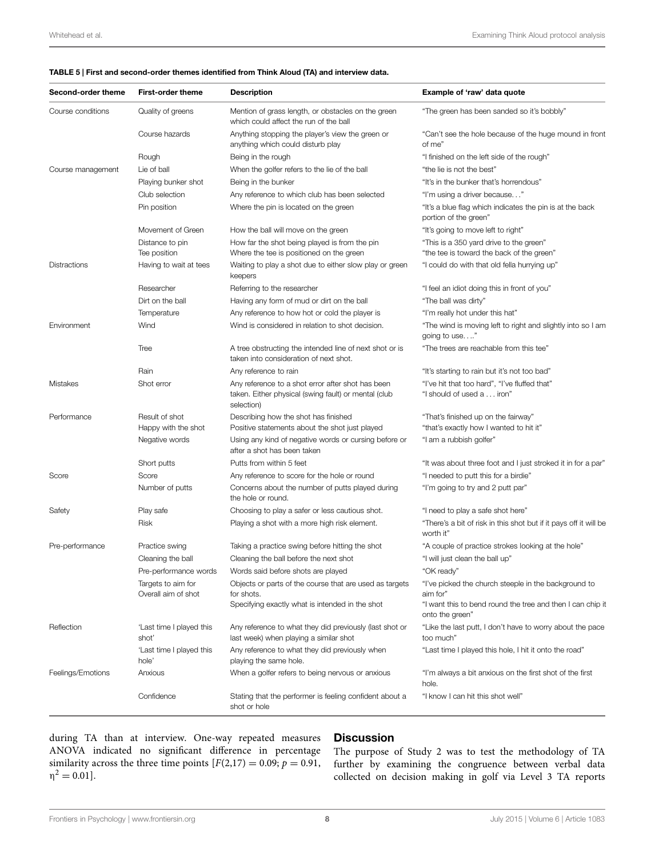#### <span id="page-8-0"></span>TABLE 5 | First and second-order themes identified from Think Aloud (TA) and interview data.

| Second-order theme | <b>First-order theme</b>                  | <b>Description</b>                                                                                                      | Example of 'raw' data quote                                                          |
|--------------------|-------------------------------------------|-------------------------------------------------------------------------------------------------------------------------|--------------------------------------------------------------------------------------|
| Course conditions  | Quality of greens                         | Mention of grass length, or obstacles on the green<br>which could affect the run of the ball                            | "The green has been sanded so it's bobbly"                                           |
|                    | Course hazards                            | Anything stopping the player's view the green or<br>anything which could disturb play                                   | "Can't see the hole because of the huge mound in front<br>of me"                     |
|                    | Rough                                     | Being in the rough                                                                                                      | "I finished on the left side of the rough"                                           |
| Course management  | Lie of ball                               | When the golfer refers to the lie of the ball                                                                           | "the lie is not the best"                                                            |
|                    | Playing bunker shot                       | Being in the bunker                                                                                                     | "It's in the bunker that's horrendous"                                               |
|                    | Club selection                            | Any reference to which club has been selected                                                                           | "I'm using a driver because"                                                         |
|                    | Pin position                              | Where the pin is located on the green                                                                                   | "It's a blue flag which indicates the pin is at the back<br>portion of the green"    |
|                    | Movement of Green                         | How the ball will move on the green                                                                                     | "It's going to move left to right"                                                   |
|                    | Distance to pin<br>Tee position           | How far the shot being played is from the pin<br>Where the tee is positioned on the green                               | "This is a 350 yard drive to the green"<br>"the tee is toward the back of the green" |
| Distractions       | Having to wait at tees                    | Waiting to play a shot due to either slow play or green<br>keepers                                                      | "I could do with that old fella hurrying up"                                         |
|                    | Researcher                                | Referring to the researcher                                                                                             | "I feel an idiot doing this in front of you"                                         |
|                    | Dirt on the ball                          | Having any form of mud or dirt on the ball                                                                              | "The ball was dirty"                                                                 |
|                    | Temperature                               | Any reference to how hot or cold the player is                                                                          | "I'm really hot under this hat"                                                      |
| Environment        | Wind                                      | Wind is considered in relation to shot decision.                                                                        | "The wind is moving left to right and slightly into so I am<br>going to use"         |
|                    | Tree                                      | A tree obstructing the intended line of next shot or is<br>taken into consideration of next shot.                       | "The trees are reachable from this tee"                                              |
|                    | Rain                                      | Any reference to rain                                                                                                   | "It's starting to rain but it's not too bad"                                         |
| Mistakes           | Shot error                                | Any reference to a shot error after shot has been<br>taken. Either physical (swing fault) or mental (club<br>selection) | "I've hit that too hard", "I've fluffed that"<br>"I should of used a iron"           |
| Performance        | Result of shot                            | Describing how the shot has finished                                                                                    | "That's finished up on the fairway"                                                  |
|                    | Happy with the shot                       | Positive statements about the shot just played                                                                          | "that's exactly how I wanted to hit it"                                              |
|                    | Negative words                            | Using any kind of negative words or cursing before or<br>after a shot has been taken                                    | "I am a rubbish golfer"                                                              |
|                    | Short putts                               | Putts from within 5 feet                                                                                                | "It was about three foot and I just stroked it in for a par"                         |
| Score              | Score                                     | Any reference to score for the hole or round                                                                            | "I needed to putt this for a birdie"                                                 |
|                    | Number of putts                           | Concerns about the number of putts played during<br>the hole or round.                                                  | "I'm going to try and 2 putt par"                                                    |
| Safety             | Play safe                                 | Choosing to play a safer or less cautious shot.                                                                         | "I need to play a safe shot here"                                                    |
|                    | Risk                                      | Playing a shot with a more high risk element.                                                                           | "There's a bit of risk in this shot but if it pays off it will be<br>worth it"       |
| Pre-performance    | Practice swing                            | Taking a practice swing before hitting the shot                                                                         | "A couple of practice strokes looking at the hole"                                   |
|                    | Cleaning the ball                         | Cleaning the ball before the next shot                                                                                  | "I will just clean the ball up"                                                      |
|                    | Pre-performance words                     | Words said before shots are played                                                                                      | "OK ready"                                                                           |
|                    | Targets to aim for<br>Overall aim of shot | Objects or parts of the course that are used as targets<br>for shots.                                                   | "I've picked the church steeple in the background to<br>aim for"                     |
|                    |                                           | Specifying exactly what is intended in the shot                                                                         | "I want this to bend round the tree and then I can chip it<br>onto the green"        |
| Reflection         | 'Last time I played this<br>shot'         | Any reference to what they did previously (last shot or<br>last week) when playing a similar shot                       | "Like the last putt, I don't have to worry about the pace<br>too much"               |
|                    | 'Last time I played this<br>hole'         | Any reference to what they did previously when<br>playing the same hole.                                                | "Last time I played this hole, I hit it onto the road"                               |
| Feelings/Emotions  | Anxious                                   | When a golfer refers to being nervous or anxious                                                                        | "I'm always a bit anxious on the first shot of the first<br>hole.                    |
|                    | Confidence                                | Stating that the performer is feeling confident about a<br>shot or hole                                                 | "I know I can hit this shot well"                                                    |

during TA than at interview. One-way repeated measures ANOVA indicated no significant difference in percentage similarity across the three time points  $[F(2,17) = 0.09; p = 0.91,$  $\eta^2 = 0.01$ ].

# **Discussion**

The purpose of Study 2 was to test the methodology of TA further by examining the congruence between verbal data collected on decision making in golf via Level 3 TA reports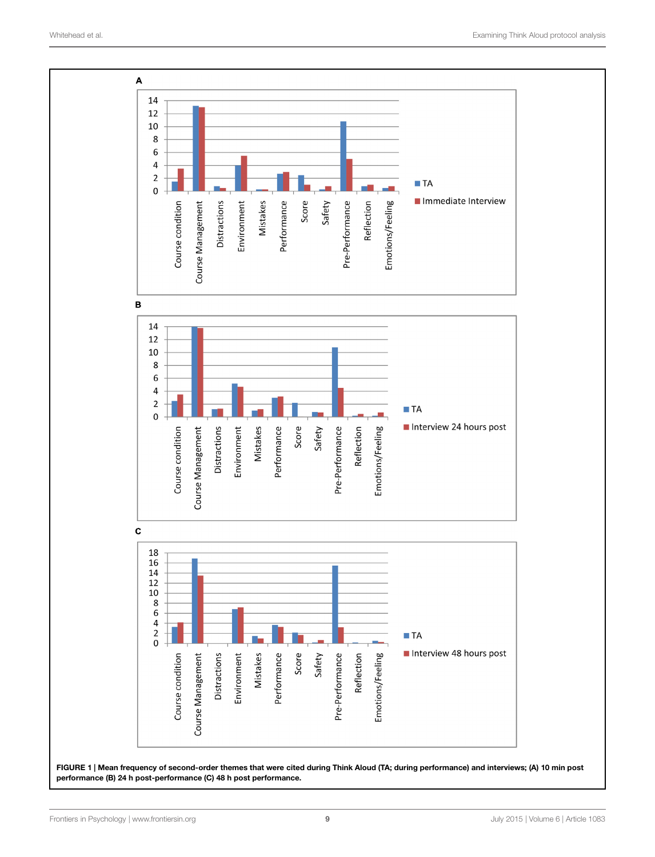

<span id="page-9-0"></span>FIGURE 1 | Mean frequency of second-order themes that were cited during Think Aloud (TA; during performance) and interviews; (A) 10 min post performance (B) 24 h post-performance (C) 48 h post performance.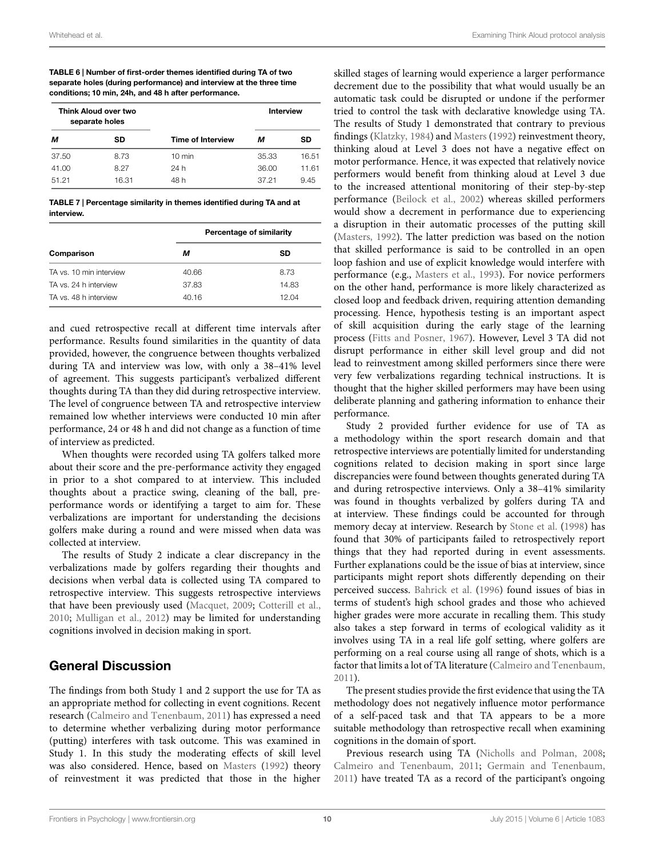<span id="page-10-0"></span>TABLE 6 | Number of first-order themes identified during TA of two separate holes (during performance) and interview at the three time conditions; 10 min, 24h, and 48 h after performance.

| Think Aloud over two<br>separate holes |       |                          | Interview |       |
|----------------------------------------|-------|--------------------------|-----------|-------|
| м                                      | SD    | <b>Time of Interview</b> | м         | SD    |
| 37.50                                  | 8.73  | $10 \text{ min}$         | 35.33     | 16.51 |
| 41.00                                  | 8.27  | 24 h                     | 36.00     | 11.61 |
| 51.21                                  | 16.31 | 48 h                     | 37.21     | 9.45  |

<span id="page-10-1"></span>TABLE 7 | Percentage similarity in themes identified during TA and at interview.

|                         | Percentage of similarity |       |  |
|-------------------------|--------------------------|-------|--|
| Comparison              | м                        | SD    |  |
| TA vs. 10 min interview | 40.66                    | 8.73  |  |
| TA vs. 24 h interview   | 37.83                    | 14.83 |  |
| TA vs. 48 h interview   | 40.16                    | 12.04 |  |

and cued retrospective recall at different time intervals after performance. Results found similarities in the quantity of data provided, however, the congruence between thoughts verbalized during TA and interview was low, with only a 38–41% level of agreement. This suggests participant's verbalized different thoughts during TA than they did during retrospective interview. The level of congruence between TA and retrospective interview remained low whether interviews were conducted 10 min after performance, 24 or 48 h and did not change as a function of time of interview as predicted.

When thoughts were recorded using TA golfers talked more about their score and the pre-performance activity they engaged in prior to a shot compared to at interview. This included thoughts about a practice swing, cleaning of the ball, preperformance words or identifying a target to aim for. These verbalizations are important for understanding the decisions golfers make during a round and were missed when data was collected at interview.

The results of Study 2 indicate a clear discrepancy in the verbalizations made by golfers regarding their thoughts and decisions when verbal data is collected using TA compared to retrospective interview. This suggests retrospective interviews that have been previously used [\(Macquet, 2009;](#page-12-11) [Cotterill et al.](#page-11-14), [2010](#page-11-14); [Mulligan et al.](#page-12-12), [2012\)](#page-12-12) may be limited for understanding cognitions involved in decision making in sport.

# General Discussion

The findings from both Study 1 and 2 support the use for TA as an appropriate method for collecting in event cognitions. Recent research [\(Calmeiro and Tenenbaum](#page-11-6), [2011](#page-11-6)) has expressed a need to determine whether verbalizing during motor performance (putting) interferes with task outcome. This was examined in Study 1. In this study the moderating effects of skill level was also considered. Hence, based on [Masters](#page-12-9) [\(1992\)](#page-12-9) theory of reinvestment it was predicted that those in the higher

skilled stages of learning would experience a larger performance decrement due to the possibility that what would usually be an automatic task could be disrupted or undone if the performer tried to control the task with declarative knowledge using TA. The results of Study 1 demonstrated that contrary to previous findings [\(Klatzky](#page-12-7), [1984](#page-12-7)) and [Masters](#page-12-9) [\(1992\)](#page-12-9) reinvestment theory, thinking aloud at Level 3 does not have a negative effect on motor performance. Hence, it was expected that relatively novice performers would benefit from thinking aloud at Level 3 due to the increased attentional monitoring of their step-by-step performance [\(Beilock et al., 2002\)](#page-11-9) whereas skilled performers would show a decrement in performance due to experiencing a disruption in their automatic processes of the putting skill [\(Masters, 1992](#page-12-9)). The latter prediction was based on the notion that skilled performance is said to be controlled in an open loop fashion and use of explicit knowledge would interfere with performance (e.g., [Masters et al., 1993\)](#page-12-17). For novice performers on the other hand, performance is more likely characterized as closed loop and feedback driven, requiring attention demanding processing. Hence, hypothesis testing is an important aspect of skill acquisition during the early stage of the learning process [\(Fitts and Posner, 1967](#page-12-10)). However, Level 3 TA did not disrupt performance in either skill level group and did not lead to reinvestment among skilled performers since there were very few verbalizations regarding technical instructions. It is thought that the higher skilled performers may have been using deliberate planning and gathering information to enhance their performance.

Study 2 provided further evidence for use of TA as a methodology within the sport research domain and that retrospective interviews are potentially limited for understanding cognitions related to decision making in sport since large discrepancies were found between thoughts generated during TA and during retrospective interviews. Only a 38–41% similarity was found in thoughts verbalized by golfers during TA and at interview. These findings could be accounted for through memory decay at interview. Research by [Stone et al.](#page-12-21) [\(1998](#page-12-21)) has found that 30% of participants failed to retrospectively report things that they had reported during in event assessments. Further explanations could be the issue of bias at interview, since participants might report shots differently depending on their perceived success. [Bahrick et al.](#page-11-11) [\(1996](#page-11-11)) found issues of bias in terms of student's high school grades and those who achieved higher grades were more accurate in recalling them. This study also takes a step forward in terms of ecological validity as it involves using TA in a real life golf setting, where golfers are performing on a real course using all range of shots, which is a factor that limits a lot of TA literature [\(Calmeiro and Tenenbaum](#page-11-6), [2011\)](#page-11-6).

The present studies provide the first evidence that using the TA methodology does not negatively influence motor performance of a self-paced task and that TA appears to be a more suitable methodology than retrospective recall when examining cognitions in the domain of sport.

Previous research using TA [\(Nicholls and Polman](#page-12-3), [2008](#page-12-3); [Calmeiro and Tenenbaum](#page-11-6), [2011;](#page-11-6) [Germain and Tenenbaum](#page-12-22), [2011\)](#page-12-22) have treated TA as a record of the participant's ongoing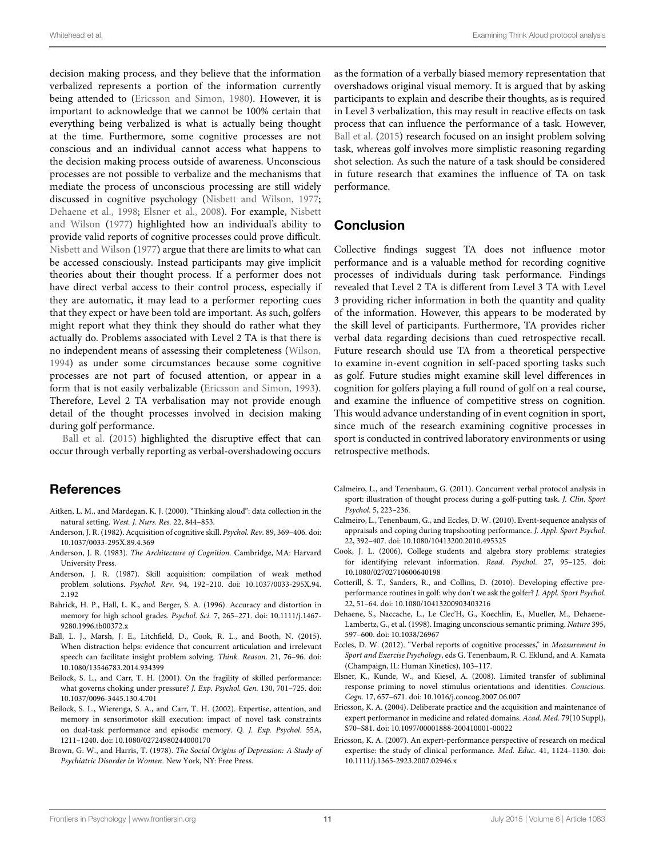decision making process, and they believe that the information verbalized represents a portion of the information currently being attended to [\(Ericsson and Simon](#page-12-13), [1980\)](#page-12-13). However, it is important to acknowledge that we cannot be 100% certain that everything being verbalized is what is actually being thought at the time. Furthermore, some cognitive processes are not conscious and an individual cannot access what happens to the decision making process outside of awareness. Unconscious processes are not possible to verbalize and the mechanisms that mediate the process of unconscious processing are still widely discussed in cognitive psychology [\(Nisbett and Wilson](#page-12-23), [1977;](#page-12-23) [Dehaene et al.](#page-11-15), [1998](#page-11-15); [Elsner et al.](#page-11-16)[,](#page-12-23) [2008](#page-11-16)[\). For example,](#page-12-23) Nisbett and Wilson [\(1977](#page-12-23)) highlighted how an individual's ability to provide valid reports of cognitive processes could prove difficult. [Nisbett and Wilson](#page-12-23) [\(1977\)](#page-12-23) argue that there are limits to what can be accessed consciously. Instead participants may give implicit theories about their thought process. If a performer does not have direct verbal access to their control process, especially if they are automatic, it may lead to a performer reporting cues that they expect or have been told are important. As such, golfers might report what they think they should do rather what they actually do. Problems associated with Level 2 TA is that there is no independent means of assessing their completeness [\(Wilson,](#page-12-24) [1994](#page-12-24)) as under some circumstances because some cognitive processes are not part of focused attention, or appear in a form that is not easily verbalizable [\(Ericsson and Simon](#page-12-0), [1993](#page-12-0)). Therefore, Level 2 TA verbalisation may not provide enough detail of the thought processes involved in decision making during golf performance.

[Ball et al.](#page-11-17) [\(2015\)](#page-11-17) highlighted the disruptive effect that can occur through verbally reporting as verbal-overshadowing occurs

# References

- <span id="page-11-3"></span>Aitken, L. M., and Mardegan, K. J. (2000). "Thinking aloud": data collection in the natural setting. *West. J. Nurs. Res.* 22, 844–853.
- <span id="page-11-7"></span>Anderson, J. R. (1982). Acquisition of cognitive skill. *Psychol. Rev.* 89, 369–406. doi: 10.1037/0033-295X.89.4.369
- <span id="page-11-12"></span>Anderson, J. R. (1983). *The Architecture of Cognition*. Cambridge, MA: Harvard University Press.
- <span id="page-11-13"></span>Anderson, J. R. (1987). Skill acquisition: compilation of weak method problem solutions. *Psychol. Rev.* 94, 192–210. doi: 10.1037/0033-295X.94. 2.192
- <span id="page-11-11"></span>Bahrick, H. P., Hall, L. K., and Berger, S. A. (1996). Accuracy and distortion in memory for high school grades. *Psychol. Sci.* 7, 265–271. doi: 10.1111/j.1467- 9280.1996.tb00372.x
- <span id="page-11-17"></span>Ball, L. J., Marsh, J. E., Litchfield, D., Cook, R. L., and Booth, N. (2015). When distraction helps: evidence that concurrent articulation and irrelevant speech can facilitate insight problem solving. *Think. Reason.* 21, 76–96. doi: 10.1080/13546783.2014.934399
- <span id="page-11-8"></span>Beilock, S. L., and Carr, T. H. (2001). On the fragility of skilled performance: what governs choking under pressure? *J. Exp. Psychol. Gen.* 130, 701–725. doi: 10.1037/0096-3445.130.4.701
- <span id="page-11-9"></span>Beilock, S. L., Wierenga, S. A., and Carr, T. H. (2002). Expertise, attention, and memory in sensorimotor skill execution: impact of novel task constraints on dual-task performance and episodic memory. *Q. J. Exp. Psychol.* 55A, 1211–1240. doi: 10.1080/02724980244000170
- <span id="page-11-10"></span>Brown, G. W., and Harris, T. (1978). *The Social Origins of Depression: A Study of Psychiatric Disorder in Women*. New York, NY: Free Press.

as the formation of a verbally biased memory representation that overshadows original visual memory. It is argued that by asking participants to explain and describe their thoughts, as is required in Level 3 verbalization, this may result in reactive effects on task process that can influence the performance of a task. However, [Ball et al.](#page-11-17) [\(2015](#page-11-17)) research focused on an insight problem solving task, whereas golf involves more simplistic reasoning regarding shot selection. As such the nature of a task should be considered in future research that examines the influence of TA on task performance.

## Conclusion

Collective findings suggest TA does not influence motor performance and is a valuable method for recording cognitive processes of individuals during task performance. Findings revealed that Level 2 TA is different from Level 3 TA with Level 3 providing richer information in both the quantity and quality of the information. However, this appears to be moderated by the skill level of participants. Furthermore, TA provides richer verbal data regarding decisions than cued retrospective recall. Future research should use TA from a theoretical perspective to examine in-event cognition in self-paced sporting tasks such as golf. Future studies might examine skill level differences in cognition for golfers playing a full round of golf on a real course, and examine the influence of competitive stress on cognition. This would advance understanding of in event cognition in sport, since much of the research examining cognitive processes in sport is conducted in contrived laboratory environments or using retrospective methods.

- <span id="page-11-6"></span>Calmeiro, L., and Tenenbaum, G. (2011). Concurrent verbal protocol analysis in sport: illustration of thought process during a golf-putting task. *J. Clin. Sport Psychol.* 5, 223–236.
- <span id="page-11-5"></span>Calmeiro, L., Tenenbaum, G., and Eccles, D. W. (2010). Event-sequence analysis of appraisals and coping during trapshooting performance. *J. Appl. Sport Psychol.* 22, 392–407. doi: 10.1080/10413200.2010.495325
- <span id="page-11-4"></span>Cook, J. L. (2006). College students and algebra story problems: strategies for identifying relevant information. *Read. Psychol.* 27, 95–125. doi: 10.1080/02702710600640198
- <span id="page-11-14"></span>Cotterill, S. T., Sanders, R., and Collins, D. (2010). Developing effective preperformance routines in golf: why don't we ask the golfer?*J. Appl. Sport Psychol.* 22, 51–64. doi: 10.1080/10413200903403216
- <span id="page-11-15"></span>Dehaene, S., Naccache, L., Le Clec'H, G., Koechlin, E., Mueller, M., Dehaene-Lambertz, G., et al. (1998). Imaging unconscious semantic priming. *Nature* 395, 597–600. doi: 10.1038/26967
- <span id="page-11-0"></span>Eccles, D. W. (2012). "Verbal reports of cognitive processes," in *Measurement in Sport and Exercise Psychology*, eds G. Tenenbaum, R. C. Eklund, and A. Kamata (Champaign, IL: Human Kinetics), 103–117.
- <span id="page-11-16"></span>Elsner, K., Kunde, W., and Kiesel, A. (2008). Limited transfer of subliminal response priming to novel stimulus orientations and identities. *Conscious. Cogn.* 17, 657–671. doi: 10.1016/j.concog.2007.06.007
- <span id="page-11-1"></span>Ericsson, K. A. (2004). Deliberate practice and the acquisition and maintenance of expert performance in medicine and related domains. *Acad. Med.* 79(10 Suppl), S70–S81. doi: 10.1097/00001888-200410001-00022
- <span id="page-11-2"></span>Ericsson, K. A. (2007). An expert-performance perspective of research on medical expertise: the study of clinical performance. *Med. Educ.* 41, 1124–1130. doi: 10.1111/j.1365-2923.2007.02946.x